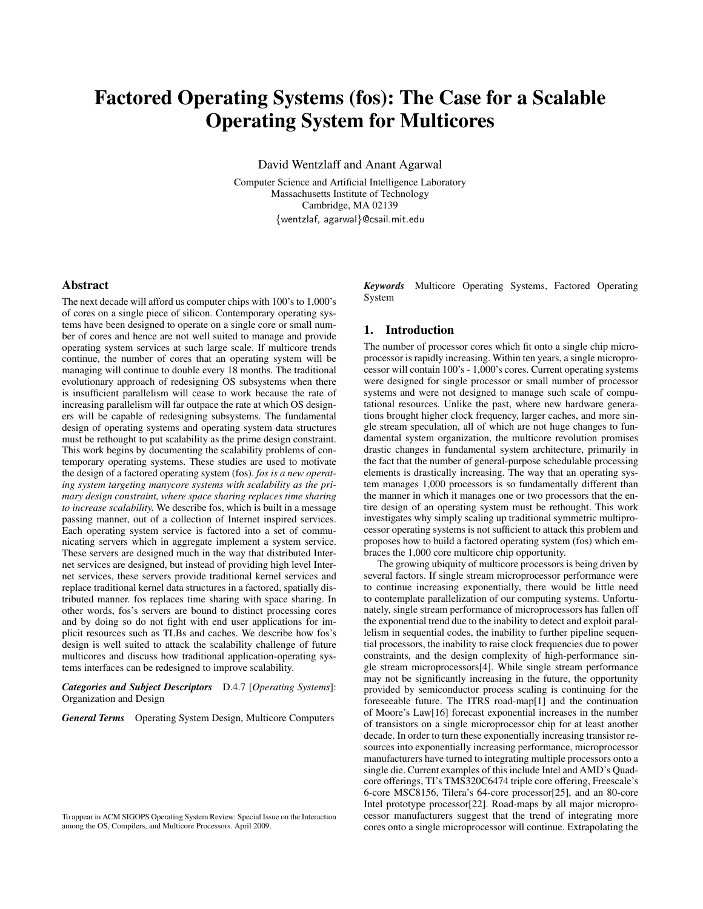# **Factored Operating Systems (fos): The Case for a Scalable Operating System for Multicores**

David Wentzlaff and Anant Agarwal

Computer Science and Artificial Intelligence Laboratory Massachusetts Institute of Technology Cambridge, MA 02139 {wentzlaf, agarwal}@csail.mit.edu

# **Abstract**

The next decade will afford us computer chips with 100's to 1,000's of cores on a single piece of silicon. Contemporary operating systems have been designed to operate on a single core or small number of cores and hence are not well suited to manage and provide operating system services at such large scale. If multicore trends continue, the number of cores that an operating system will be managing will continue to double every 18 months. The traditional evolutionary approach of redesigning OS subsystems when there is insufficient parallelism will cease to work because the rate of increasing parallelism will far outpace the rate at which OS designers will be capable of redesigning subsystems. The fundamental design of operating systems and operating system data structures must be rethought to put scalability as the prime design constraint. This work begins by documenting the scalability problems of contemporary operating systems. These studies are used to motivate the design of a factored operating system (fos). *fos is a new operating system targeting manycore systems with scalability as the primary design constraint, where space sharing replaces time sharing to increase scalability.* We describe fos, which is built in a message passing manner, out of a collection of Internet inspired services. Each operating system service is factored into a set of communicating servers which in aggregate implement a system service. These servers are designed much in the way that distributed Internet services are designed, but instead of providing high level Internet services, these servers provide traditional kernel services and replace traditional kernel data structures in a factored, spatially distributed manner. fos replaces time sharing with space sharing. In other words, fos's servers are bound to distinct processing cores and by doing so do not fight with end user applications for implicit resources such as TLBs and caches. We describe how fos's design is well suited to attack the scalability challenge of future multicores and discuss how traditional application-operating systems interfaces can be redesigned to improve scalability.

*Categories and Subject Descriptors* D.4.7 [*Operating Systems*]: Organization and Design

*General Terms* Operating System Design, Multicore Computers

To appear in ACM SIGOPS Operating System Review: Special Issue on the Interaction among the OS, Compilers, and Multicore Processors. April 2009.

*Keywords* Multicore Operating Systems, Factored Operating System

## **1. Introduction**

The number of processor cores which fit onto a single chip microprocessor is rapidly increasing. Within ten years, a single microprocessor will contain 100's - 1,000's cores. Current operating systems were designed for single processor or small number of processor systems and were not designed to manage such scale of computational resources. Unlike the past, where new hardware generations brought higher clock frequency, larger caches, and more single stream speculation, all of which are not huge changes to fundamental system organization, the multicore revolution promises drastic changes in fundamental system architecture, primarily in the fact that the number of general-purpose schedulable processing elements is drastically increasing. The way that an operating system manages 1,000 processors is so fundamentally different than the manner in which it manages one or two processors that the entire design of an operating system must be rethought. This work investigates why simply scaling up traditional symmetric multiprocessor operating systems is not sufficient to attack this problem and proposes how to build a factored operating system (fos) which embraces the 1,000 core multicore chip opportunity.

The growing ubiquity of multicore processors is being driven by several factors. If single stream microprocessor performance were to continue increasing exponentially, there would be little need to contemplate parallelization of our computing systems. Unfortunately, single stream performance of microprocessors has fallen off the exponential trend due to the inability to detect and exploit parallelism in sequential codes, the inability to further pipeline sequential processors, the inability to raise clock frequencies due to power constraints, and the design complexity of high-performance single stream microprocessors[4]. While single stream performance may not be significantly increasing in the future, the opportunity provided by semiconductor process scaling is continuing for the foreseeable future. The ITRS road-map[1] and the continuation of Moore's Law[16] forecast exponential increases in the number of transistors on a single microprocessor chip for at least another decade. In order to turn these exponentially increasing transistor resources into exponentially increasing performance, microprocessor manufacturers have turned to integrating multiple processors onto a single die. Current examples of this include Intel and AMD's Quadcore offerings, TI's TMS320C6474 triple core offering, Freescale's 6-core MSC8156, Tilera's 64-core processor[25], and an 80-core Intel prototype processor[22]. Road-maps by all major microprocessor manufacturers suggest that the trend of integrating more cores onto a single microprocessor will continue. Extrapolating the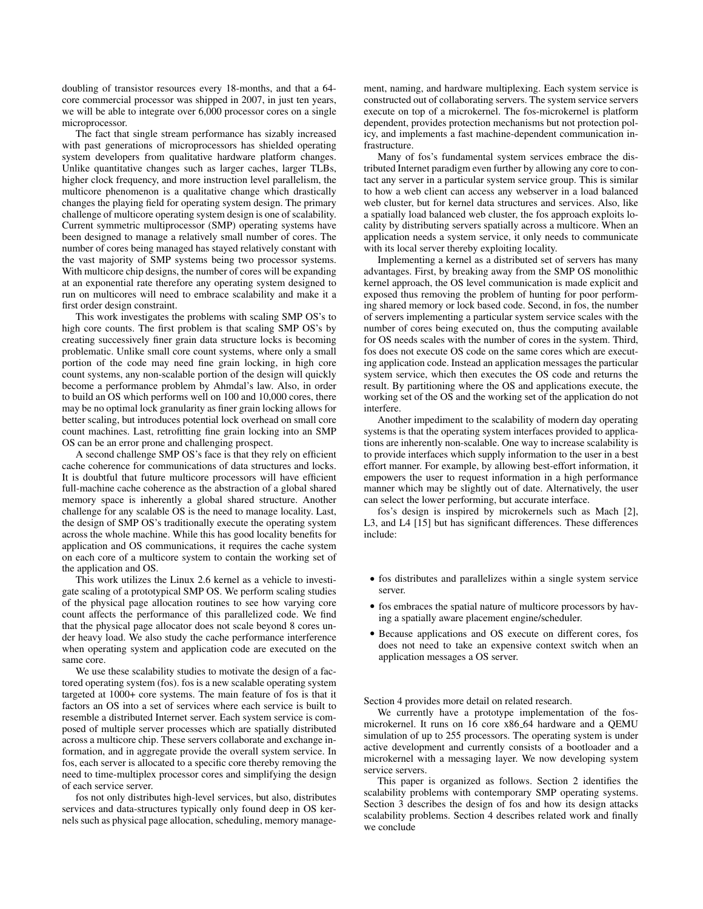doubling of transistor resources every 18-months, and that a 64 core commercial processor was shipped in 2007, in just ten years, we will be able to integrate over 6,000 processor cores on a single microprocessor.

The fact that single stream performance has sizably increased with past generations of microprocessors has shielded operating system developers from qualitative hardware platform changes. Unlike quantitative changes such as larger caches, larger TLBs, higher clock frequency, and more instruction level parallelism, the multicore phenomenon is a qualitative change which drastically changes the playing field for operating system design. The primary challenge of multicore operating system design is one of scalability. Current symmetric multiprocessor (SMP) operating systems have been designed to manage a relatively small number of cores. The number of cores being managed has stayed relatively constant with the vast majority of SMP systems being two processor systems. With multicore chip designs, the number of cores will be expanding at an exponential rate therefore any operating system designed to run on multicores will need to embrace scalability and make it a first order design constraint.

This work investigates the problems with scaling SMP OS's to high core counts. The first problem is that scaling SMP OS's by creating successively finer grain data structure locks is becoming problematic. Unlike small core count systems, where only a small portion of the code may need fine grain locking, in high core count systems, any non-scalable portion of the design will quickly become a performance problem by Ahmdal's law. Also, in order to build an OS which performs well on 100 and 10,000 cores, there may be no optimal lock granularity as finer grain locking allows for better scaling, but introduces potential lock overhead on small core count machines. Last, retrofitting fine grain locking into an SMP OS can be an error prone and challenging prospect.

A second challenge SMP OS's face is that they rely on efficient cache coherence for communications of data structures and locks. It is doubtful that future multicore processors will have efficient full-machine cache coherence as the abstraction of a global shared memory space is inherently a global shared structure. Another challenge for any scalable OS is the need to manage locality. Last, the design of SMP OS's traditionally execute the operating system across the whole machine. While this has good locality benefits for application and OS communications, it requires the cache system on each core of a multicore system to contain the working set of the application and OS.

This work utilizes the Linux 2.6 kernel as a vehicle to investigate scaling of a prototypical SMP OS. We perform scaling studies of the physical page allocation routines to see how varying core count affects the performance of this parallelized code. We find that the physical page allocator does not scale beyond 8 cores under heavy load. We also study the cache performance interference when operating system and application code are executed on the same core.

We use these scalability studies to motivate the design of a factored operating system (fos). fos is a new scalable operating system targeted at 1000+ core systems. The main feature of fos is that it factors an OS into a set of services where each service is built to resemble a distributed Internet server. Each system service is composed of multiple server processes which are spatially distributed across a multicore chip. These servers collaborate and exchange information, and in aggregate provide the overall system service. In fos, each server is allocated to a specific core thereby removing the need to time-multiplex processor cores and simplifying the design of each service server.

fos not only distributes high-level services, but also, distributes services and data-structures typically only found deep in OS kernels such as physical page allocation, scheduling, memory management, naming, and hardware multiplexing. Each system service is constructed out of collaborating servers. The system service servers execute on top of a microkernel. The fos-microkernel is platform dependent, provides protection mechanisms but not protection policy, and implements a fast machine-dependent communication infrastructure.

Many of fos's fundamental system services embrace the distributed Internet paradigm even further by allowing any core to contact any server in a particular system service group. This is similar to how a web client can access any webserver in a load balanced web cluster, but for kernel data structures and services. Also, like a spatially load balanced web cluster, the fos approach exploits locality by distributing servers spatially across a multicore. When an application needs a system service, it only needs to communicate with its local server thereby exploiting locality.

Implementing a kernel as a distributed set of servers has many advantages. First, by breaking away from the SMP OS monolithic kernel approach, the OS level communication is made explicit and exposed thus removing the problem of hunting for poor performing shared memory or lock based code. Second, in fos, the number of servers implementing a particular system service scales with the number of cores being executed on, thus the computing available for OS needs scales with the number of cores in the system. Third, fos does not execute OS code on the same cores which are executing application code. Instead an application messages the particular system service, which then executes the OS code and returns the result. By partitioning where the OS and applications execute, the working set of the OS and the working set of the application do not interfere.

Another impediment to the scalability of modern day operating systems is that the operating system interfaces provided to applications are inherently non-scalable. One way to increase scalability is to provide interfaces which supply information to the user in a best effort manner. For example, by allowing best-effort information, it empowers the user to request information in a high performance manner which may be slightly out of date. Alternatively, the user can select the lower performing, but accurate interface.

fos's design is inspired by microkernels such as Mach [2], L3, and L4 [15] but has significant differences. These differences include:

- fos distributes and parallelizes within a single system service server.
- fos embraces the spatial nature of multicore processors by having a spatially aware placement engine/scheduler.
- Because applications and OS execute on different cores, fos does not need to take an expensive context switch when an application messages a OS server.

Section 4 provides more detail on related research.

We currently have a prototype implementation of the fosmicrokernel. It runs on 16 core x86 64 hardware and a QEMU simulation of up to 255 processors. The operating system is under active development and currently consists of a bootloader and a microkernel with a messaging layer. We now developing system service servers.

This paper is organized as follows. Section 2 identifies the scalability problems with contemporary SMP operating systems. Section 3 describes the design of fos and how its design attacks scalability problems. Section 4 describes related work and finally we conclude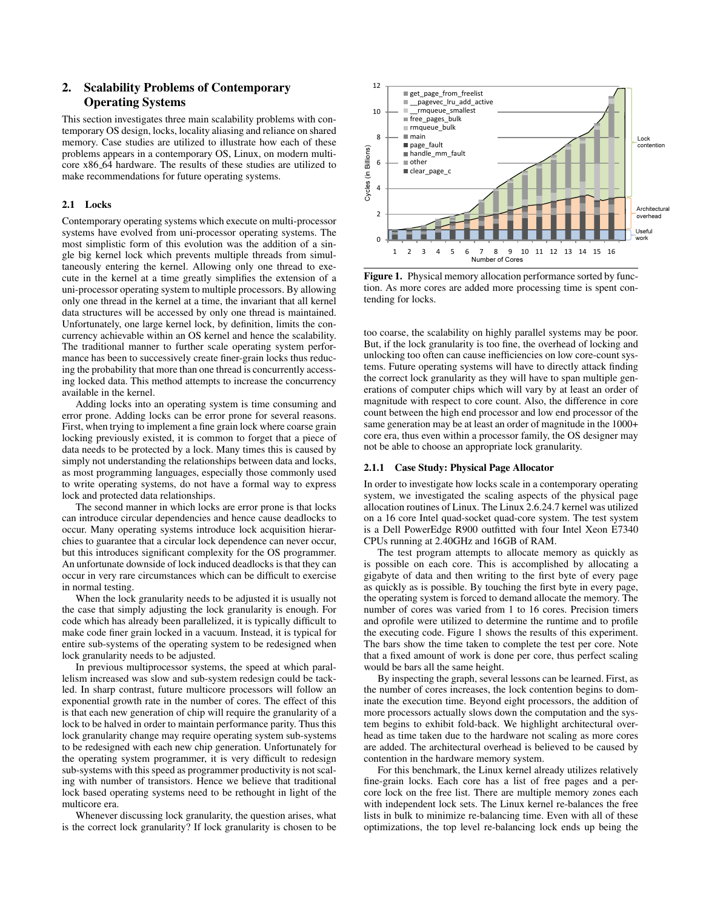# **2. Scalability Problems of Contemporary Operating Systems**

This section investigates three main scalability problems with contemporary OS design, locks, locality aliasing and reliance on shared memory. Case studies are utilized to illustrate how each of these problems appears in a contemporary OS, Linux, on modern multicore x86 64 hardware. The results of these studies are utilized to make recommendations for future operating systems.

#### **2.1 Locks**

Contemporary operating systems which execute on multi-processor systems have evolved from uni-processor operating systems. The most simplistic form of this evolution was the addition of a single big kernel lock which prevents multiple threads from simultaneously entering the kernel. Allowing only one thread to execute in the kernel at a time greatly simplifies the extension of a uni-processor operating system to multiple processors. By allowing only one thread in the kernel at a time, the invariant that all kernel data structures will be accessed by only one thread is maintained. Unfortunately, one large kernel lock, by definition, limits the concurrency achievable within an OS kernel and hence the scalability. The traditional manner to further scale operating system performance has been to successively create finer-grain locks thus reducing the probability that more than one thread is concurrently accessing locked data. This method attempts to increase the concurrency available in the kernel.

Adding locks into an operating system is time consuming and error prone. Adding locks can be error prone for several reasons. First, when trying to implement a fine grain lock where coarse grain locking previously existed, it is common to forget that a piece of data needs to be protected by a lock. Many times this is caused by simply not understanding the relationships between data and locks, as most programming languages, especially those commonly used to write operating systems, do not have a formal way to express lock and protected data relationships.

The second manner in which locks are error prone is that locks can introduce circular dependencies and hence cause deadlocks to occur. Many operating systems introduce lock acquisition hierarchies to guarantee that a circular lock dependence can never occur, but this introduces significant complexity for the OS programmer. An unfortunate downside of lock induced deadlocks is that they can occur in very rare circumstances which can be difficult to exercise in normal testing.

When the lock granularity needs to be adjusted it is usually not the case that simply adjusting the lock granularity is enough. For code which has already been parallelized, it is typically difficult to make code finer grain locked in a vacuum. Instead, it is typical for entire sub-systems of the operating system to be redesigned when lock granularity needs to be adjusted.

In previous multiprocessor systems, the speed at which parallelism increased was slow and sub-system redesign could be tackled. In sharp contrast, future multicore processors will follow an exponential growth rate in the number of cores. The effect of this is that each new generation of chip will require the granularity of a lock to be halved in order to maintain performance parity. Thus this lock granularity change may require operating system sub-systems to be redesigned with each new chip generation. Unfortunately for the operating system programmer, it is very difficult to redesign sub-systems with this speed as programmer productivity is not scaling with number of transistors. Hence we believe that traditional lock based operating systems need to be rethought in light of the multicore era.

Whenever discussing lock granularity, the question arises, what is the correct lock granularity? If lock granularity is chosen to be



**Figure 1.** Physical memory allocation performance sorted by function. As more cores are added more processing time is spent contending for locks.

too coarse, the scalability on highly parallel systems may be poor. But, if the lock granularity is too fine, the overhead of locking and unlocking too often can cause inefficiencies on low core-count systems. Future operating systems will have to directly attack finding the correct lock granularity as they will have to span multiple generations of computer chips which will vary by at least an order of magnitude with respect to core count. Also, the difference in core count between the high end processor and low end processor of the same generation may be at least an order of magnitude in the 1000+ core era, thus even within a processor family, the OS designer may not be able to choose an appropriate lock granularity.

#### **2.1.1 Case Study: Physical Page Allocator**

In order to investigate how locks scale in a contemporary operating system, we investigated the scaling aspects of the physical page allocation routines of Linux. The Linux 2.6.24.7 kernel was utilized on a 16 core Intel quad-socket quad-core system. The test system is a Dell PowerEdge R900 outfitted with four Intel Xeon E7340 CPUs running at 2.40GHz and 16GB of RAM.

The test program attempts to allocate memory as quickly as is possible on each core. This is accomplished by allocating a gigabyte of data and then writing to the first byte of every page as quickly as is possible. By touching the first byte in every page, the operating system is forced to demand allocate the memory. The number of cores was varied from 1 to 16 cores. Precision timers and oprofile were utilized to determine the runtime and to profile the executing code. Figure 1 shows the results of this experiment. The bars show the time taken to complete the test per core. Note that a fixed amount of work is done per core, thus perfect scaling would be bars all the same height.

By inspecting the graph, several lessons can be learned. First, as the number of cores increases, the lock contention begins to dominate the execution time. Beyond eight processors, the addition of more processors actually slows down the computation and the system begins to exhibit fold-back. We highlight architectural overhead as time taken due to the hardware not scaling as more cores are added. The architectural overhead is believed to be caused by contention in the hardware memory system.

For this benchmark, the Linux kernel already utilizes relatively fine-grain locks. Each core has a list of free pages and a percore lock on the free list. There are multiple memory zones each with independent lock sets. The Linux kernel re-balances the free lists in bulk to minimize re-balancing time. Even with all of these optimizations, the top level re-balancing lock ends up being the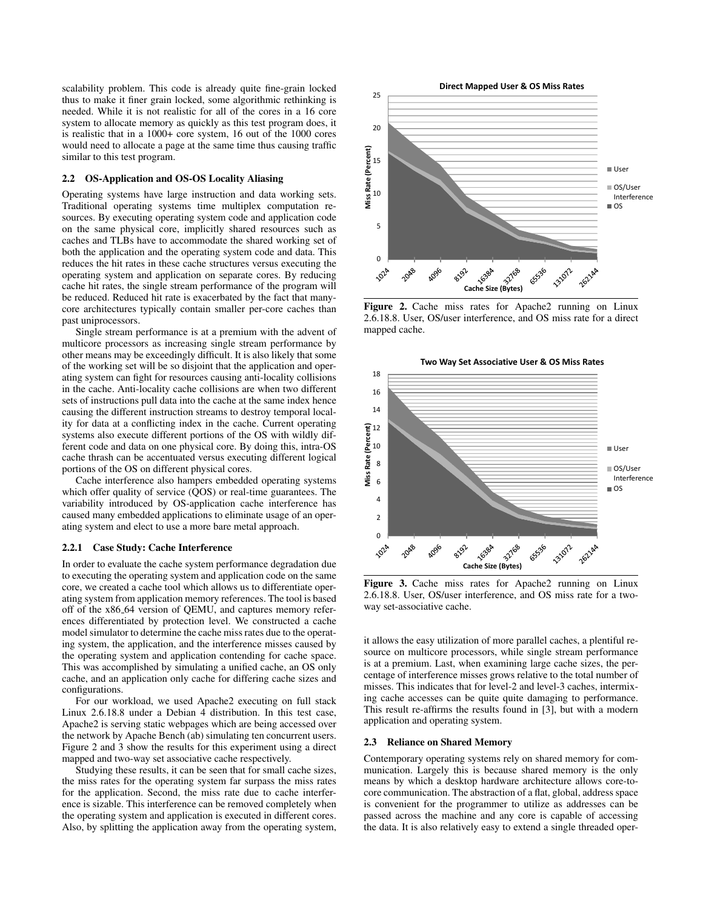scalability problem. This code is already quite fine-grain locked thus to make it finer grain locked, some algorithmic rethinking is needed. While it is not realistic for all of the cores in a 16 core system to allocate memory as quickly as this test program does, it is realistic that in a 1000+ core system, 16 out of the 1000 cores would need to allocate a page at the same time thus causing traffic similar to this test program.

#### **2.2 OS-Application and OS-OS Locality Aliasing**

Operating systems have large instruction and data working sets. Traditional operating systems time multiplex computation resources. By executing operating system code and application code on the same physical core, implicitly shared resources such as caches and TLBs have to accommodate the shared working set of both the application and the operating system code and data. This reduces the hit rates in these cache structures versus executing the operating system and application on separate cores. By reducing cache hit rates, the single stream performance of the program will be reduced. Reduced hit rate is exacerbated by the fact that manycore architectures typically contain smaller per-core caches than past uniprocessors.

Single stream performance is at a premium with the advent of multicore processors as increasing single stream performance by other means may be exceedingly difficult. It is also likely that some of the working set will be so disjoint that the application and operating system can fight for resources causing anti-locality collisions in the cache. Anti-locality cache collisions are when two different sets of instructions pull data into the cache at the same index hence causing the different instruction streams to destroy temporal locality for data at a conflicting index in the cache. Current operating systems also execute different portions of the OS with wildly different code and data on one physical core. By doing this, intra-OS cache thrash can be accentuated versus executing different logical portions of the OS on different physical cores.

Cache interference also hampers embedded operating systems which offer quality of service (QOS) or real-time guarantees. The variability introduced by OS-application cache interference has caused many embedded applications to eliminate usage of an operating system and elect to use a more bare metal approach.

#### **2.2.1 Case Study: Cache Interference**

In order to evaluate the cache system performance degradation due to executing the operating system and application code on the same core, we created a cache tool which allows us to differentiate operating system from application memory references. The tool is based off of the x86 64 version of QEMU, and captures memory references differentiated by protection level. We constructed a cache model simulator to determine the cache miss rates due to the operating system, the application, and the interference misses caused by the operating system and application contending for cache space. This was accomplished by simulating a unified cache, an OS only cache, and an application only cache for differing cache sizes and configurations.

For our workload, we used Apache2 executing on full stack Linux 2.6.18.8 under a Debian 4 distribution. In this test case, Apache2 is serving static webpages which are being accessed over the network by Apache Bench (ab) simulating ten concurrent users. Figure 2 and 3 show the results for this experiment using a direct mapped and two-way set associative cache respectively.

Studying these results, it can be seen that for small cache sizes, the miss rates for the operating system far surpass the miss rates for the application. Second, the miss rate due to cache interference is sizable. This interference can be removed completely when the operating system and application is executed in different cores. Also, by splitting the application away from the operating system,



**Figure 2.** Cache miss rates for Apache2 running on Linux 2.6.18.8. User, OS/user interference, and OS miss rate for a direct mapped cache.



**Figure 3.** Cache miss rates for Apache2 running on Linux 2.6.18.8. User, OS/user interference, and OS miss rate for a twoway set-associative cache.

it allows the easy utilization of more parallel caches, a plentiful resource on multicore processors, while single stream performance is at a premium. Last, when examining large cache sizes, the percentage of interference misses grows relative to the total number of misses. This indicates that for level-2 and level-3 caches, intermixing cache accesses can be quite quite damaging to performance. This result re-affirms the results found in [3], but with a modern application and operating system.

#### **2.3 Reliance on Shared Memory**

Contemporary operating systems rely on shared memory for communication. Largely this is because shared memory is the only means by which a desktop hardware architecture allows core-tocore communication. The abstraction of a flat, global, address space is convenient for the programmer to utilize as addresses can be passed across the machine and any core is capable of accessing the data. It is also relatively easy to extend a single threaded oper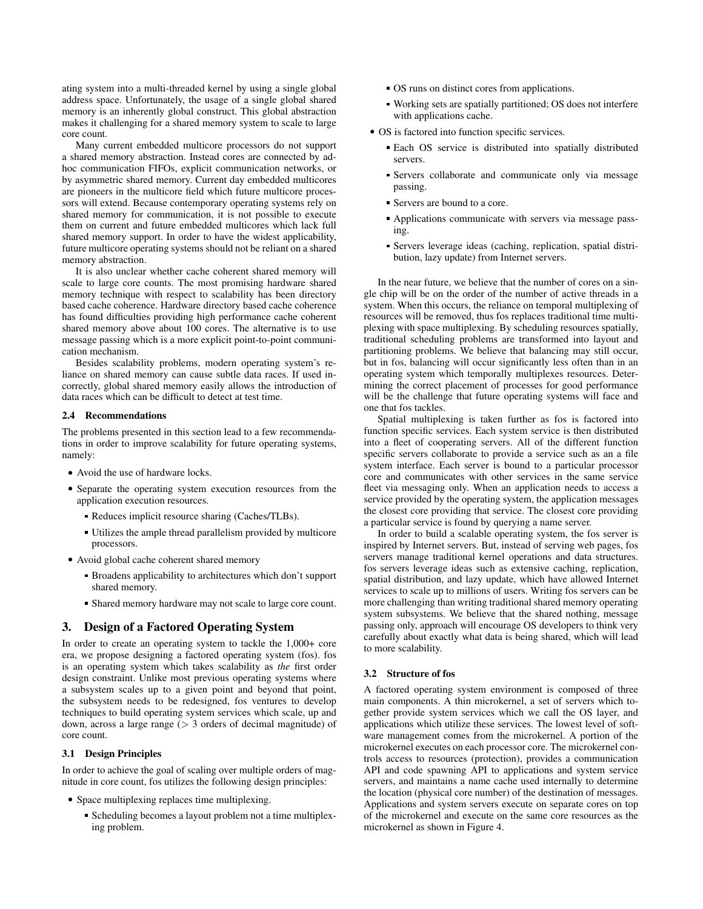ating system into a multi-threaded kernel by using a single global address space. Unfortunately, the usage of a single global shared memory is an inherently global construct. This global abstraction makes it challenging for a shared memory system to scale to large core count.

Many current embedded multicore processors do not support a shared memory abstraction. Instead cores are connected by adhoc communication FIFOs, explicit communication networks, or by asymmetric shared memory. Current day embedded multicores are pioneers in the multicore field which future multicore processors will extend. Because contemporary operating systems rely on shared memory for communication, it is not possible to execute them on current and future embedded multicores which lack full shared memory support. In order to have the widest applicability, future multicore operating systems should not be reliant on a shared memory abstraction.

It is also unclear whether cache coherent shared memory will scale to large core counts. The most promising hardware shared memory technique with respect to scalability has been directory based cache coherence. Hardware directory based cache coherence has found difficulties providing high performance cache coherent shared memory above about 100 cores. The alternative is to use message passing which is a more explicit point-to-point communication mechanism.

Besides scalability problems, modern operating system's reliance on shared memory can cause subtle data races. If used incorrectly, global shared memory easily allows the introduction of data races which can be difficult to detect at test time.

### **2.4 Recommendations**

The problems presented in this section lead to a few recommendations in order to improve scalability for future operating systems, namely:

- Avoid the use of hardware locks.
- Separate the operating system execution resources from the application execution resources.
	- Reduces implicit resource sharing (Caches/TLBs).
	- Utilizes the ample thread parallelism provided by multicore processors.
- Avoid global cache coherent shared memory
	- Broadens applicability to architectures which don't support shared memory.
	- Shared memory hardware may not scale to large core count.

#### **3. Design of a Factored Operating System**

In order to create an operating system to tackle the 1,000+ core era, we propose designing a factored operating system (fos). fos is an operating system which takes scalability as *the* first order design constraint. Unlike most previous operating systems where a subsystem scales up to a given point and beyond that point, the subsystem needs to be redesigned, fos ventures to develop techniques to build operating system services which scale, up and down, across a large range  $(> 3 \text{ orders of decimal magnitude})$  of core count.

#### **3.1 Design Principles**

In order to achieve the goal of scaling over multiple orders of magnitude in core count, fos utilizes the following design principles:

- Space multiplexing replaces time multiplexing.
	- Scheduling becomes a layout problem not a time multiplexing problem.
- OS runs on distinct cores from applications.
- Working sets are spatially partitioned; OS does not interfere with applications cache.
- OS is factored into function specific services.
	- Each OS service is distributed into spatially distributed servers.
	- Servers collaborate and communicate only via message passing.
	- Servers are bound to a core.
	- Applications communicate with servers via message passing.
	- Servers leverage ideas (caching, replication, spatial distribution, lazy update) from Internet servers.

In the near future, we believe that the number of cores on a single chip will be on the order of the number of active threads in a system. When this occurs, the reliance on temporal multiplexing of resources will be removed, thus fos replaces traditional time multiplexing with space multiplexing. By scheduling resources spatially, traditional scheduling problems are transformed into layout and partitioning problems. We believe that balancing may still occur, but in fos, balancing will occur significantly less often than in an operating system which temporally multiplexes resources. Determining the correct placement of processes for good performance will be the challenge that future operating systems will face and one that fos tackles.

Spatial multiplexing is taken further as fos is factored into function specific services. Each system service is then distributed into a fleet of cooperating servers. All of the different function specific servers collaborate to provide a service such as an a file system interface. Each server is bound to a particular processor core and communicates with other services in the same service fleet via messaging only. When an application needs to access a service provided by the operating system, the application messages the closest core providing that service. The closest core providing a particular service is found by querying a name server.

In order to build a scalable operating system, the fos server is inspired by Internet servers. But, instead of serving web pages, fos servers manage traditional kernel operations and data structures. fos servers leverage ideas such as extensive caching, replication, spatial distribution, and lazy update, which have allowed Internet services to scale up to millions of users. Writing fos servers can be more challenging than writing traditional shared memory operating system subsystems. We believe that the shared nothing, message passing only, approach will encourage OS developers to think very carefully about exactly what data is being shared, which will lead to more scalability.

#### **3.2 Structure of fos**

A factored operating system environment is composed of three main components. A thin microkernel, a set of servers which together provide system services which we call the OS layer, and applications which utilize these services. The lowest level of software management comes from the microkernel. A portion of the microkernel executes on each processor core. The microkernel controls access to resources (protection), provides a communication API and code spawning API to applications and system service servers, and maintains a name cache used internally to determine the location (physical core number) of the destination of messages. Applications and system servers execute on separate cores on top of the microkernel and execute on the same core resources as the microkernel as shown in Figure 4.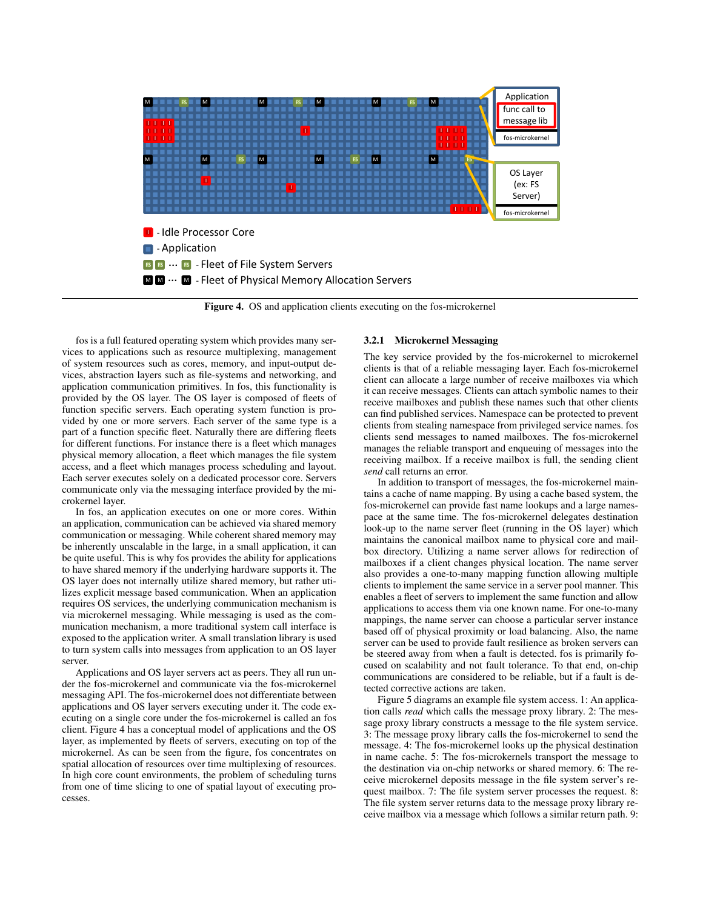

**Figure 4.** OS and application clients executing on the fos-microkernel

fos is a full featured operating system which provides many services to applications such as resource multiplexing, management of system resources such as cores, memory, and input-output devices, abstraction layers such as file-systems and networking, and application communication primitives. In fos, this functionality is provided by the OS layer. The OS layer is composed of fleets of function specific servers. Each operating system function is provided by one or more servers. Each server of the same type is a part of a function specific fleet. Naturally there are differing fleets for different functions. For instance there is a fleet which manages physical memory allocation, a fleet which manages the file system access, and a fleet which manages process scheduling and layout. Each server executes solely on a dedicated processor core. Servers communicate only via the messaging interface provided by the microkernel layer.

In fos, an application executes on one or more cores. Within an application, communication can be achieved via shared memory communication or messaging. While coherent shared memory may be inherently unscalable in the large, in a small application, it can be quite useful. This is why fos provides the ability for applications to have shared memory if the underlying hardware supports it. The OS layer does not internally utilize shared memory, but rather utilizes explicit message based communication. When an application requires OS services, the underlying communication mechanism is via microkernel messaging. While messaging is used as the communication mechanism, a more traditional system call interface is exposed to the application writer. A small translation library is used to turn system calls into messages from application to an OS layer server.

Applications and OS layer servers act as peers. They all run under the fos-microkernel and communicate via the fos-microkernel messaging API. The fos-microkernel does not differentiate between applications and OS layer servers executing under it. The code executing on a single core under the fos-microkernel is called an fos client. Figure 4 has a conceptual model of applications and the OS layer, as implemented by fleets of servers, executing on top of the microkernel. As can be seen from the figure, fos concentrates on spatial allocation of resources over time multiplexing of resources. In high core count environments, the problem of scheduling turns from one of time slicing to one of spatial layout of executing processes.

#### **3.2.1 Microkernel Messaging**

The key service provided by the fos-microkernel to microkernel clients is that of a reliable messaging layer. Each fos-microkernel client can allocate a large number of receive mailboxes via which it can receive messages. Clients can attach symbolic names to their receive mailboxes and publish these names such that other clients can find published services. Namespace can be protected to prevent clients from stealing namespace from privileged service names. fos clients send messages to named mailboxes. The fos-microkernel manages the reliable transport and enqueuing of messages into the receiving mailbox. If a receive mailbox is full, the sending client *send* call returns an error.

In addition to transport of messages, the fos-microkernel maintains a cache of name mapping. By using a cache based system, the fos-microkernel can provide fast name lookups and a large namespace at the same time. The fos-microkernel delegates destination look-up to the name server fleet (running in the OS layer) which maintains the canonical mailbox name to physical core and mailbox directory. Utilizing a name server allows for redirection of mailboxes if a client changes physical location. The name server also provides a one-to-many mapping function allowing multiple clients to implement the same service in a server pool manner. This enables a fleet of servers to implement the same function and allow applications to access them via one known name. For one-to-many mappings, the name server can choose a particular server instance based off of physical proximity or load balancing. Also, the name server can be used to provide fault resilience as broken servers can be steered away from when a fault is detected. fos is primarily focused on scalability and not fault tolerance. To that end, on-chip communications are considered to be reliable, but if a fault is detected corrective actions are taken.

Figure 5 diagrams an example file system access. 1: An application calls *read* which calls the message proxy library. 2: The message proxy library constructs a message to the file system service. 3: The message proxy library calls the fos-microkernel to send the message. 4: The fos-microkernel looks up the physical destination in name cache. 5: The fos-microkernels transport the message to the destination via on-chip networks or shared memory. 6: The receive microkernel deposits message in the file system server's request mailbox. 7: The file system server processes the request. 8: The file system server returns data to the message proxy library receive mailbox via a message which follows a similar return path. 9: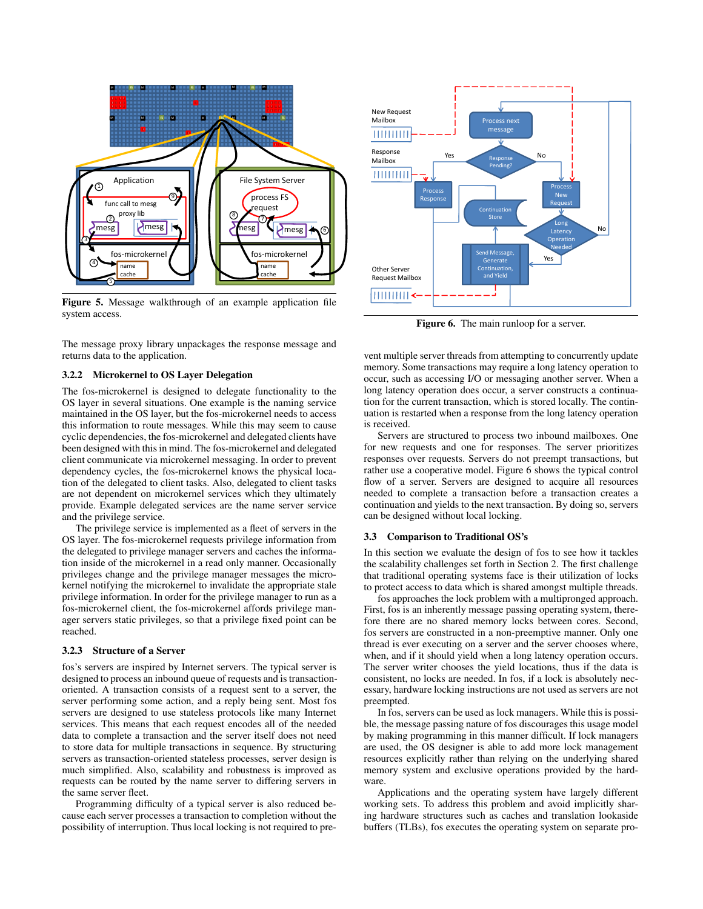

**Figure 5.** Message walkthrough of an example application file system access.

The message proxy library unpackages the response message and returns data to the application.

#### **3.2.2 Microkernel to OS Layer Delegation**

The fos-microkernel is designed to delegate functionality to the OS layer in several situations. One example is the naming service maintained in the OS layer, but the fos-microkernel needs to access this information to route messages. While this may seem to cause cyclic dependencies, the fos-microkernel and delegated clients have been designed with this in mind. The fos-microkernel and delegated client communicate via microkernel messaging. In order to prevent dependency cycles, the fos-microkernel knows the physical location of the delegated to client tasks. Also, delegated to client tasks are not dependent on microkernel services which they ultimately provide. Example delegated services are the name server service and the privilege service.

The privilege service is implemented as a fleet of servers in the OS layer. The fos-microkernel requests privilege information from the delegated to privilege manager servers and caches the information inside of the microkernel in a read only manner. Occasionally privileges change and the privilege manager messages the microkernel notifying the microkernel to invalidate the appropriate stale privilege information. In order for the privilege manager to run as a fos-microkernel client, the fos-microkernel affords privilege manager servers static privileges, so that a privilege fixed point can be reached.

#### **3.2.3 Structure of a Server**

fos's servers are inspired by Internet servers. The typical server is designed to process an inbound queue of requests and is transactionoriented. A transaction consists of a request sent to a server, the server performing some action, and a reply being sent. Most fos servers are designed to use stateless protocols like many Internet services. This means that each request encodes all of the needed data to complete a transaction and the server itself does not need to store data for multiple transactions in sequence. By structuring servers as transaction-oriented stateless processes, server design is much simplified. Also, scalability and robustness is improved as requests can be routed by the name server to differing servers in the same server fleet.

Programming difficulty of a typical server is also reduced because each server processes a transaction to completion without the possibility of interruption. Thus local locking is not required to pre-



**Figure 6.** The main runloop for a server.

vent multiple server threads from attempting to concurrently update memory. Some transactions may require a long latency operation to occur, such as accessing I/O or messaging another server. When a long latency operation does occur, a server constructs a continuation for the current transaction, which is stored locally. The continuation is restarted when a response from the long latency operation is received.

Servers are structured to process two inbound mailboxes. One for new requests and one for responses. The server prioritizes responses over requests. Servers do not preempt transactions, but rather use a cooperative model. Figure 6 shows the typical control flow of a server. Servers are designed to acquire all resources needed to complete a transaction before a transaction creates a continuation and yields to the next transaction. By doing so, servers can be designed without local locking.

#### **3.3 Comparison to Traditional OS's**

In this section we evaluate the design of fos to see how it tackles the scalability challenges set forth in Section 2. The first challenge that traditional operating systems face is their utilization of locks to protect access to data which is shared amongst multiple threads.

fos approaches the lock problem with a multipronged approach. First, fos is an inherently message passing operating system, therefore there are no shared memory locks between cores. Second, fos servers are constructed in a non-preemptive manner. Only one thread is ever executing on a server and the server chooses where, when, and if it should yield when a long latency operation occurs. The server writer chooses the yield locations, thus if the data is consistent, no locks are needed. In fos, if a lock is absolutely necessary, hardware locking instructions are not used as servers are not preempted.

In fos, servers can be used as lock managers. While this is possible, the message passing nature of fos discourages this usage model by making programming in this manner difficult. If lock managers are used, the OS designer is able to add more lock management resources explicitly rather than relying on the underlying shared memory system and exclusive operations provided by the hardware.

Applications and the operating system have largely different working sets. To address this problem and avoid implicitly sharing hardware structures such as caches and translation lookaside buffers (TLBs), fos executes the operating system on separate pro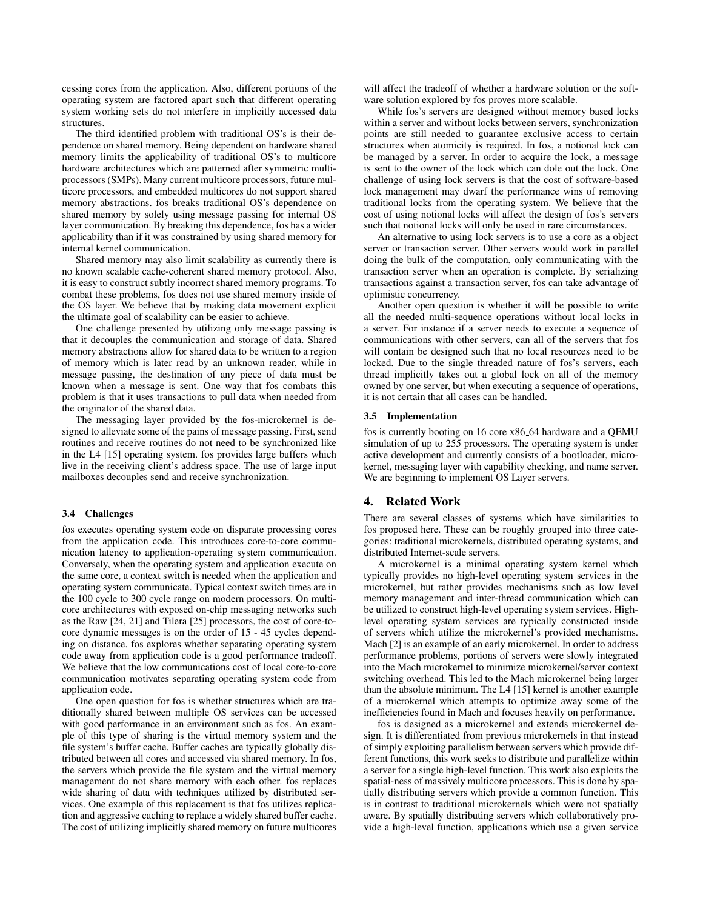cessing cores from the application. Also, different portions of the operating system are factored apart such that different operating system working sets do not interfere in implicitly accessed data structures.

The third identified problem with traditional OS's is their dependence on shared memory. Being dependent on hardware shared memory limits the applicability of traditional OS's to multicore hardware architectures which are patterned after symmetric multiprocessors (SMPs). Many current multicore processors, future multicore processors, and embedded multicores do not support shared memory abstractions. fos breaks traditional OS's dependence on shared memory by solely using message passing for internal OS layer communication. By breaking this dependence, fos has a wider applicability than if it was constrained by using shared memory for internal kernel communication.

Shared memory may also limit scalability as currently there is no known scalable cache-coherent shared memory protocol. Also, it is easy to construct subtly incorrect shared memory programs. To combat these problems, fos does not use shared memory inside of the OS layer. We believe that by making data movement explicit the ultimate goal of scalability can be easier to achieve.

One challenge presented by utilizing only message passing is that it decouples the communication and storage of data. Shared memory abstractions allow for shared data to be written to a region of memory which is later read by an unknown reader, while in message passing, the destination of any piece of data must be known when a message is sent. One way that fos combats this problem is that it uses transactions to pull data when needed from the originator of the shared data.

The messaging layer provided by the fos-microkernel is designed to alleviate some of the pains of message passing. First, send routines and receive routines do not need to be synchronized like in the L4 [15] operating system. fos provides large buffers which live in the receiving client's address space. The use of large input mailboxes decouples send and receive synchronization.

#### **3.4 Challenges**

fos executes operating system code on disparate processing cores from the application code. This introduces core-to-core communication latency to application-operating system communication. Conversely, when the operating system and application execute on the same core, a context switch is needed when the application and operating system communicate. Typical context switch times are in the 100 cycle to 300 cycle range on modern processors. On multicore architectures with exposed on-chip messaging networks such as the Raw [24, 21] and Tilera [25] processors, the cost of core-tocore dynamic messages is on the order of 15 - 45 cycles depending on distance. fos explores whether separating operating system code away from application code is a good performance tradeoff. We believe that the low communications cost of local core-to-core communication motivates separating operating system code from application code.

One open question for fos is whether structures which are traditionally shared between multiple OS services can be accessed with good performance in an environment such as fos. An example of this type of sharing is the virtual memory system and the file system's buffer cache. Buffer caches are typically globally distributed between all cores and accessed via shared memory. In fos, the servers which provide the file system and the virtual memory management do not share memory with each other. fos replaces wide sharing of data with techniques utilized by distributed services. One example of this replacement is that fos utilizes replication and aggressive caching to replace a widely shared buffer cache. The cost of utilizing implicitly shared memory on future multicores will affect the tradeoff of whether a hardware solution or the software solution explored by fos proves more scalable.

While fos's servers are designed without memory based locks within a server and without locks between servers, synchronization points are still needed to guarantee exclusive access to certain structures when atomicity is required. In fos, a notional lock can be managed by a server. In order to acquire the lock, a message is sent to the owner of the lock which can dole out the lock. One challenge of using lock servers is that the cost of software-based lock management may dwarf the performance wins of removing traditional locks from the operating system. We believe that the cost of using notional locks will affect the design of fos's servers such that notional locks will only be used in rare circumstances.

An alternative to using lock servers is to use a core as a object server or transaction server. Other servers would work in parallel doing the bulk of the computation, only communicating with the transaction server when an operation is complete. By serializing transactions against a transaction server, fos can take advantage of optimistic concurrency.

Another open question is whether it will be possible to write all the needed multi-sequence operations without local locks in a server. For instance if a server needs to execute a sequence of communications with other servers, can all of the servers that fos will contain be designed such that no local resources need to be locked. Due to the single threaded nature of fos's servers, each thread implicitly takes out a global lock on all of the memory owned by one server, but when executing a sequence of operations, it is not certain that all cases can be handled.

#### **3.5 Implementation**

fos is currently booting on 16 core x86 64 hardware and a QEMU simulation of up to 255 processors. The operating system is under active development and currently consists of a bootloader, microkernel, messaging layer with capability checking, and name server. We are beginning to implement OS Layer servers.

#### **4. Related Work**

There are several classes of systems which have similarities to fos proposed here. These can be roughly grouped into three categories: traditional microkernels, distributed operating systems, and distributed Internet-scale servers.

A microkernel is a minimal operating system kernel which typically provides no high-level operating system services in the microkernel, but rather provides mechanisms such as low level memory management and inter-thread communication which can be utilized to construct high-level operating system services. Highlevel operating system services are typically constructed inside of servers which utilize the microkernel's provided mechanisms. Mach [2] is an example of an early microkernel. In order to address performance problems, portions of servers were slowly integrated into the Mach microkernel to minimize microkernel/server context switching overhead. This led to the Mach microkernel being larger than the absolute minimum. The L4 [15] kernel is another example of a microkernel which attempts to optimize away some of the inefficiencies found in Mach and focuses heavily on performance.

fos is designed as a microkernel and extends microkernel design. It is differentiated from previous microkernels in that instead of simply exploiting parallelism between servers which provide different functions, this work seeks to distribute and parallelize within a server for a single high-level function. This work also exploits the spatial-ness of massively multicore processors. This is done by spatially distributing servers which provide a common function. This is in contrast to traditional microkernels which were not spatially aware. By spatially distributing servers which collaboratively provide a high-level function, applications which use a given service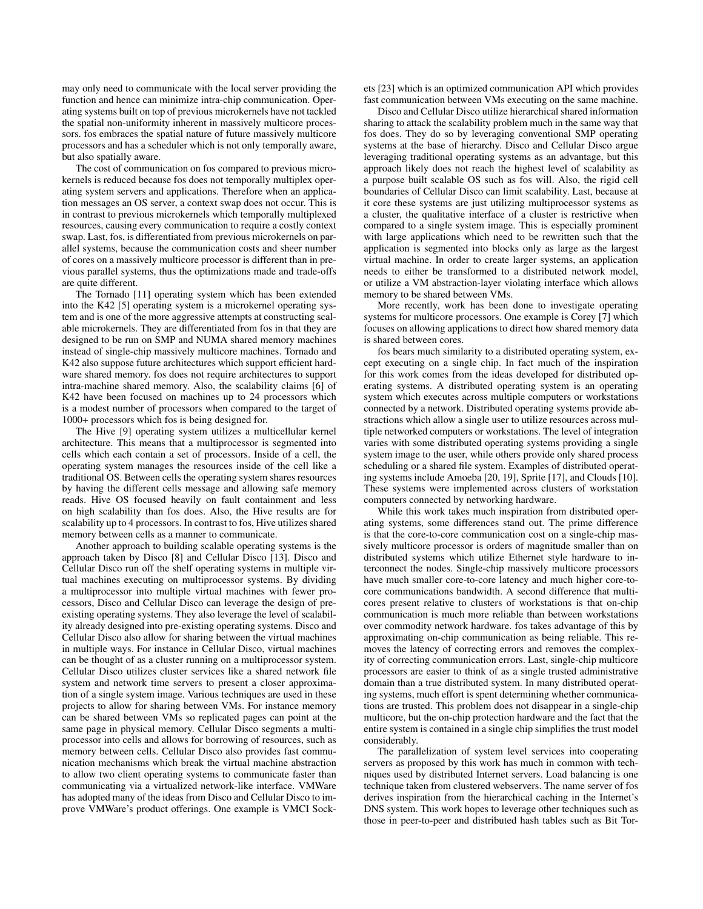may only need to communicate with the local server providing the function and hence can minimize intra-chip communication. Operating systems built on top of previous microkernels have not tackled the spatial non-uniformity inherent in massively multicore processors. fos embraces the spatial nature of future massively multicore processors and has a scheduler which is not only temporally aware, but also spatially aware.

The cost of communication on fos compared to previous microkernels is reduced because fos does not temporally multiplex operating system servers and applications. Therefore when an application messages an OS server, a context swap does not occur. This is in contrast to previous microkernels which temporally multiplexed resources, causing every communication to require a costly context swap. Last, fos, is differentiated from previous microkernels on parallel systems, because the communication costs and sheer number of cores on a massively multicore processor is different than in previous parallel systems, thus the optimizations made and trade-offs are quite different.

The Tornado [11] operating system which has been extended into the K42 [5] operating system is a microkernel operating system and is one of the more aggressive attempts at constructing scalable microkernels. They are differentiated from fos in that they are designed to be run on SMP and NUMA shared memory machines instead of single-chip massively multicore machines. Tornado and K42 also suppose future architectures which support efficient hardware shared memory. fos does not require architectures to support intra-machine shared memory. Also, the scalability claims [6] of K42 have been focused on machines up to 24 processors which is a modest number of processors when compared to the target of 1000+ processors which fos is being designed for.

The Hive [9] operating system utilizes a multicellular kernel architecture. This means that a multiprocessor is segmented into cells which each contain a set of processors. Inside of a cell, the operating system manages the resources inside of the cell like a traditional OS. Between cells the operating system shares resources by having the different cells message and allowing safe memory reads. Hive OS focused heavily on fault containment and less on high scalability than fos does. Also, the Hive results are for scalability up to 4 processors. In contrast to fos, Hive utilizes shared memory between cells as a manner to communicate.

Another approach to building scalable operating systems is the approach taken by Disco [8] and Cellular Disco [13]. Disco and Cellular Disco run off the shelf operating systems in multiple virtual machines executing on multiprocessor systems. By dividing a multiprocessor into multiple virtual machines with fewer processors, Disco and Cellular Disco can leverage the design of preexisting operating systems. They also leverage the level of scalability already designed into pre-existing operating systems. Disco and Cellular Disco also allow for sharing between the virtual machines in multiple ways. For instance in Cellular Disco, virtual machines can be thought of as a cluster running on a multiprocessor system. Cellular Disco utilizes cluster services like a shared network file system and network time servers to present a closer approximation of a single system image. Various techniques are used in these projects to allow for sharing between VMs. For instance memory can be shared between VMs so replicated pages can point at the same page in physical memory. Cellular Disco segments a multiprocessor into cells and allows for borrowing of resources, such as memory between cells. Cellular Disco also provides fast communication mechanisms which break the virtual machine abstraction to allow two client operating systems to communicate faster than communicating via a virtualized network-like interface. VMWare has adopted many of the ideas from Disco and Cellular Disco to improve VMWare's product offerings. One example is VMCI Sockets [23] which is an optimized communication API which provides fast communication between VMs executing on the same machine.

Disco and Cellular Disco utilize hierarchical shared information sharing to attack the scalability problem much in the same way that fos does. They do so by leveraging conventional SMP operating systems at the base of hierarchy. Disco and Cellular Disco argue leveraging traditional operating systems as an advantage, but this approach likely does not reach the highest level of scalability as a purpose built scalable OS such as fos will. Also, the rigid cell boundaries of Cellular Disco can limit scalability. Last, because at it core these systems are just utilizing multiprocessor systems as a cluster, the qualitative interface of a cluster is restrictive when compared to a single system image. This is especially prominent with large applications which need to be rewritten such that the application is segmented into blocks only as large as the largest virtual machine. In order to create larger systems, an application needs to either be transformed to a distributed network model, or utilize a VM abstraction-layer violating interface which allows memory to be shared between VMs.

More recently, work has been done to investigate operating systems for multicore processors. One example is Corey [7] which focuses on allowing applications to direct how shared memory data is shared between cores.

fos bears much similarity to a distributed operating system, except executing on a single chip. In fact much of the inspiration for this work comes from the ideas developed for distributed operating systems. A distributed operating system is an operating system which executes across multiple computers or workstations connected by a network. Distributed operating systems provide abstractions which allow a single user to utilize resources across multiple networked computers or workstations. The level of integration varies with some distributed operating systems providing a single system image to the user, while others provide only shared process scheduling or a shared file system. Examples of distributed operating systems include Amoeba [20, 19], Sprite [17], and Clouds [10]. These systems were implemented across clusters of workstation computers connected by networking hardware.

While this work takes much inspiration from distributed operating systems, some differences stand out. The prime difference is that the core-to-core communication cost on a single-chip massively multicore processor is orders of magnitude smaller than on distributed systems which utilize Ethernet style hardware to interconnect the nodes. Single-chip massively multicore processors have much smaller core-to-core latency and much higher core-tocore communications bandwidth. A second difference that multicores present relative to clusters of workstations is that on-chip communication is much more reliable than between workstations over commodity network hardware. fos takes advantage of this by approximating on-chip communication as being reliable. This removes the latency of correcting errors and removes the complexity of correcting communication errors. Last, single-chip multicore processors are easier to think of as a single trusted administrative domain than a true distributed system. In many distributed operating systems, much effort is spent determining whether communications are trusted. This problem does not disappear in a single-chip multicore, but the on-chip protection hardware and the fact that the entire system is contained in a single chip simplifies the trust model considerably.

The parallelization of system level services into cooperating servers as proposed by this work has much in common with techniques used by distributed Internet servers. Load balancing is one technique taken from clustered webservers. The name server of fos derives inspiration from the hierarchical caching in the Internet's DNS system. This work hopes to leverage other techniques such as those in peer-to-peer and distributed hash tables such as Bit Tor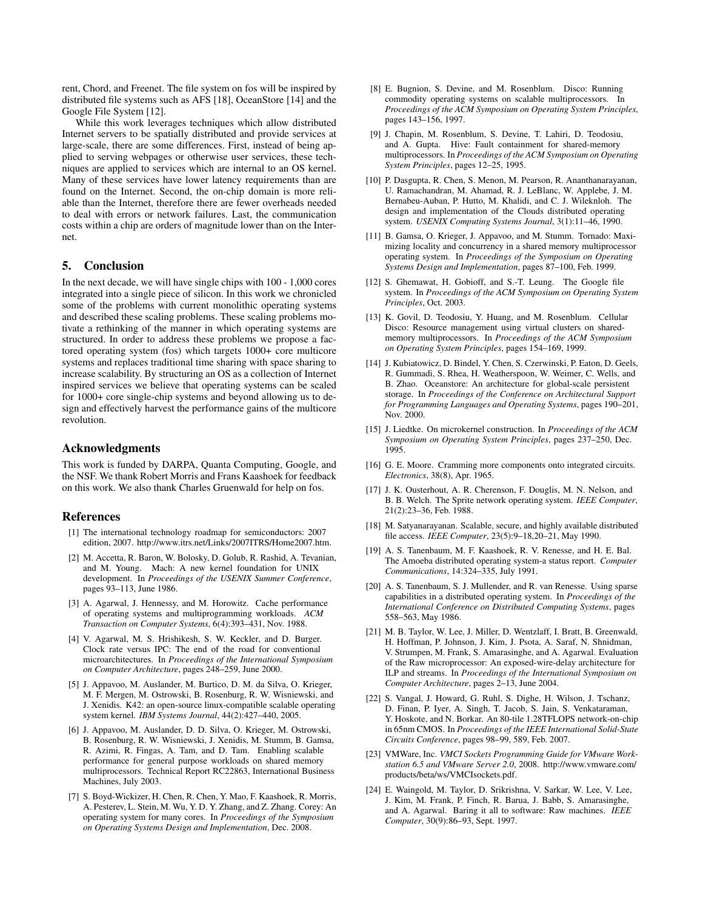rent, Chord, and Freenet. The file system on fos will be inspired by distributed file systems such as AFS [18], OceanStore [14] and the Google File System [12].

While this work leverages techniques which allow distributed Internet servers to be spatially distributed and provide services at large-scale, there are some differences. First, instead of being applied to serving webpages or otherwise user services, these techniques are applied to services which are internal to an OS kernel. Many of these services have lower latency requirements than are found on the Internet. Second, the on-chip domain is more reliable than the Internet, therefore there are fewer overheads needed to deal with errors or network failures. Last, the communication costs within a chip are orders of magnitude lower than on the Internet.

# **5. Conclusion**

In the next decade, we will have single chips with 100 - 1,000 cores integrated into a single piece of silicon. In this work we chronicled some of the problems with current monolithic operating systems and described these scaling problems. These scaling problems motivate a rethinking of the manner in which operating systems are structured. In order to address these problems we propose a factored operating system (fos) which targets 1000+ core multicore systems and replaces traditional time sharing with space sharing to increase scalability. By structuring an OS as a collection of Internet inspired services we believe that operating systems can be scaled for 1000+ core single-chip systems and beyond allowing us to design and effectively harvest the performance gains of the multicore revolution.

# **Acknowledgments**

This work is funded by DARPA, Quanta Computing, Google, and the NSF. We thank Robert Morris and Frans Kaashoek for feedback on this work. We also thank Charles Gruenwald for help on fos.

#### **References**

- [1] The international technology roadmap for semiconductors: 2007 edition, 2007. http://www.itrs.net/Links/2007ITRS/Home2007.htm.
- [2] M. Accetta, R. Baron, W. Bolosky, D. Golub, R. Rashid, A. Tevanian, and M. Young. Mach: A new kernel foundation for UNIX development. In *Proceedings of the USENIX Summer Conference*, pages 93–113, June 1986.
- [3] A. Agarwal, J. Hennessy, and M. Horowitz. Cache performance of operating systems and multiprogramming workloads. *ACM Transaction on Computer Systems*, 6(4):393–431, Nov. 1988.
- [4] V. Agarwal, M. S. Hrishikesh, S. W. Keckler, and D. Burger. Clock rate versus IPC: The end of the road for conventional microarchitectures. In *Proceedings of the International Symposium on Computer Architecture*, pages 248–259, June 2000.
- [5] J. Appavoo, M. Auslander, M. Burtico, D. M. da Silva, O. Krieger, M. F. Mergen, M. Ostrowski, B. Rosenburg, R. W. Wisniewski, and J. Xenidis. K42: an open-source linux-compatible scalable operating system kernel. *IBM Systems Journal*, 44(2):427–440, 2005.
- [6] J. Appavoo, M. Auslander, D. D. Silva, O. Krieger, M. Ostrowski, B. Rosenburg, R. W. Wisniewski, J. Xenidis, M. Stumm, B. Gamsa, R. Azimi, R. Fingas, A. Tam, and D. Tam. Enabling scalable performance for general purpose workloads on shared memory multiprocessors. Technical Report RC22863, International Business Machines, July 2003.
- [7] S. Boyd-Wickizer, H. Chen, R. Chen, Y. Mao, F. Kaashoek, R. Morris, A. Pesterev, L. Stein, M. Wu, Y. D. Y. Zhang, and Z. Zhang. Corey: An operating system for many cores. In *Proceedings of the Symposium on Operating Systems Design and Implementation*, Dec. 2008.
- [8] E. Bugnion, S. Devine, and M. Rosenblum. Disco: Running commodity operating systems on scalable multiprocessors. In *Proceedings of the ACM Symposium on Operating System Principles*, pages 143–156, 1997.
- [9] J. Chapin, M. Rosenblum, S. Devine, T. Lahiri, D. Teodosiu, and A. Gupta. Hive: Fault containment for shared-memory multiprocessors. In *Proceedings of the ACM Symposium on Operating System Principles*, pages 12–25, 1995.
- [10] P. Dasgupta, R. Chen, S. Menon, M. Pearson, R. Ananthanarayanan, U. Ramachandran, M. Ahamad, R. J. LeBlanc, W. Applebe, J. M. Bernabeu-Auban, P. Hutto, M. Khalidi, and C. J. Wileknloh. The design and implementation of the Clouds distributed operating system. *USENIX Computing Systems Journal*, 3(1):11–46, 1990.
- [11] B. Gamsa, O. Krieger, J. Appavoo, and M. Stumm. Tornado: Maximizing locality and concurrency in a shared memory multiprocessor operating system. In *Proceedings of the Symposium on Operating Systems Design and Implementation*, pages 87–100, Feb. 1999.
- [12] S. Ghemawat, H. Gobioff, and S.-T. Leung. The Google file system. In *Proceedings of the ACM Symposium on Operating System Principles*, Oct. 2003.
- [13] K. Govil, D. Teodosiu, Y. Huang, and M. Rosenblum. Cellular Disco: Resource management using virtual clusters on sharedmemory multiprocessors. In *Proceedings of the ACM Symposium on Operating System Principles*, pages 154–169, 1999.
- [14] J. Kubiatowicz, D. Bindel, Y. Chen, S. Czerwinski, P. Eaton, D. Geels, R. Gummadi, S. Rhea, H. Weatherspoon, W. Weimer, C. Wells, and B. Zhao. Oceanstore: An architecture for global-scale persistent storage. In *Proceedings of the Conference on Architectural Support for Programming Languages and Operating Systems*, pages 190–201, Nov. 2000.
- [15] J. Liedtke. On microkernel construction. In *Proceedings of the ACM Symposium on Operating System Principles*, pages 237–250, Dec. 1995.
- [16] G. E. Moore. Cramming more components onto integrated circuits. *Electronics*, 38(8), Apr. 1965.
- [17] J. K. Ousterhout, A. R. Cherenson, F. Douglis, M. N. Nelson, and B. B. Welch. The Sprite network operating system. *IEEE Computer*, 21(2):23–36, Feb. 1988.
- [18] M. Satyanarayanan. Scalable, secure, and highly available distributed file access. *IEEE Computer*, 23(5):9–18,20–21, May 1990.
- [19] A. S. Tanenbaum, M. F. Kaashoek, R. V. Renesse, and H. E. Bal. The Amoeba distributed operating system-a status report. *Computer Communications*, 14:324–335, July 1991.
- [20] A. S. Tanenbaum, S. J. Mullender, and R. van Renesse. Using sparse capabilities in a distributed operating system. In *Proceedings of the International Conference on Distributed Computing Systems*, pages 558–563, May 1986.
- [21] M. B. Taylor, W. Lee, J. Miller, D. Wentzlaff, I. Bratt, B. Greenwald, H. Hoffman, P. Johnson, J. Kim, J. Psota, A. Saraf, N. Shnidman, V. Strumpen, M. Frank, S. Amarasinghe, and A. Agarwal. Evaluation of the Raw microprocessor: An exposed-wire-delay architecture for ILP and streams. In *Proceedings of the International Symposium on Computer Architecture*, pages 2–13, June 2004.
- [22] S. Vangal, J. Howard, G. Ruhl, S. Dighe, H. Wilson, J. Tschanz, D. Finan, P. Iyer, A. Singh, T. Jacob, S. Jain, S. Venkataraman, Y. Hoskote, and N. Borkar. An 80-tile 1.28TFLOPS network-on-chip in 65nm CMOS. In *Proceedings of the IEEE International Solid-State Circuits Conference*, pages 98–99, 589, Feb. 2007.
- [23] VMWare, Inc. *VMCI Sockets Programming Guide for VMware Workstation 6.5 and VMware Server 2.0*, 2008. http://www.vmware.com/ products/beta/ws/VMCIsockets.pdf.
- [24] E. Waingold, M. Taylor, D. Srikrishna, V. Sarkar, W. Lee, V. Lee, J. Kim, M. Frank, P. Finch, R. Barua, J. Babb, S. Amarasinghe, and A. Agarwal. Baring it all to software: Raw machines. *IEEE Computer*, 30(9):86–93, Sept. 1997.